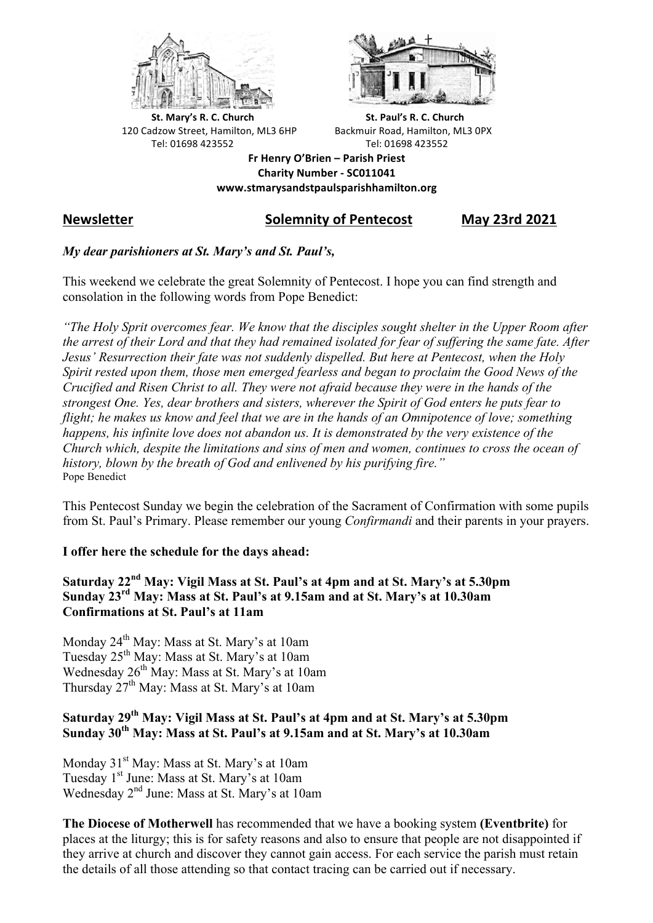



**St.** Mary's R. C. Church St. Paul's R. C. Church 120 Cadzow Street, Hamilton, ML3 6HP Backmuir Road, Hamilton, ML3 0PX Tel: 01698 423552 Tel: 01698 423552

**Fr Henry O'Brien – Parish Priest Charity Number - SC011041 www.stmarysandstpaulsparishhamilton.org**

# **Newsletter Solemnity of Pentecost May 23rd 2021**

### *My dear parishioners at St. Mary's and St. Paul's,*

This weekend we celebrate the great Solemnity of Pentecost. I hope you can find strength and consolation in the following words from Pope Benedict:

*"The Holy Sprit overcomes fear. We know that the disciples sought shelter in the Upper Room after the arrest of their Lord and that they had remained isolated for fear of suffering the same fate. After Jesus' Resurrection their fate was not suddenly dispelled. But here at Pentecost, when the Holy Spirit rested upon them, those men emerged fearless and began to proclaim the Good News of the Crucified and Risen Christ to all. They were not afraid because they were in the hands of the strongest One. Yes, dear brothers and sisters, wherever the Spirit of God enters he puts fear to flight; he makes us know and feel that we are in the hands of an Omnipotence of love; something happens, his infinite love does not abandon us. It is demonstrated by the very existence of the Church which, despite the limitations and sins of men and women, continues to cross the ocean of history, blown by the breath of God and enlivened by his purifying fire."* Pope Benedict

This Pentecost Sunday we begin the celebration of the Sacrament of Confirmation with some pupils from St. Paul's Primary. Please remember our young *Confirmandi* and their parents in your prayers.

#### **I offer here the schedule for the days ahead:**

#### **Saturday 22nd May: Vigil Mass at St. Paul's at 4pm and at St. Mary's at 5.30pm Sunday 23rd May: Mass at St. Paul's at 9.15am and at St. Mary's at 10.30am Confirmations at St. Paul's at 11am**

Monday 24<sup>th</sup> May: Mass at St. Mary's at 10am Tuesday 25th May: Mass at St. Mary's at 10am Wednesday 26<sup>th</sup> May: Mass at St. Mary's at 10am Thursday 27<sup>th</sup> May: Mass at St. Mary's at 10am

## **Saturday 29th May: Vigil Mass at St. Paul's at 4pm and at St. Mary's at 5.30pm Sunday 30th May: Mass at St. Paul's at 9.15am and at St. Mary's at 10.30am**

Monday 31<sup>st</sup> May: Mass at St. Mary's at 10am Tuesday 1<sup>st</sup> June: Mass at St. Mary's at 10am Wednesday 2nd June: Mass at St. Mary's at 10am

**The Diocese of Motherwell** has recommended that we have a booking system **(Eventbrite)** for places at the liturgy; this is for safety reasons and also to ensure that people are not disappointed if they arrive at church and discover they cannot gain access. For each service the parish must retain the details of all those attending so that contact tracing can be carried out if necessary.